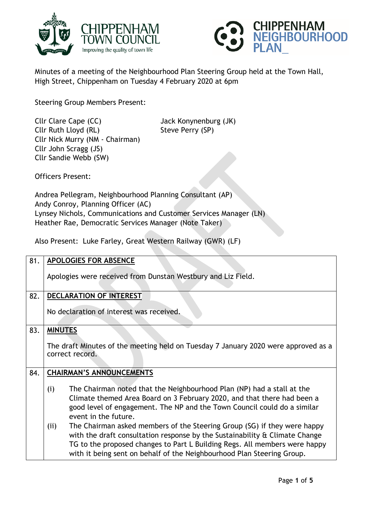



Minutes of a meeting of the Neighbourhood Plan Steering Group held at the Town Hall, High Street, Chippenham on Tuesday 4 February 2020 at 6pm

Steering Group Members Present:

Cllr Clare Cape (CC) Jack Konynenburg (JK) Cllr Ruth Lloyd (RL) Steve Perry (SP) Cllr Nick Murry (NM - Chairman) Cllr John Scragg (JS) Cllr Sandie Webb (SW)

Officers Present:

Andrea Pellegram, Neighbourhood Planning Consultant (AP) Andy Conroy, Planning Officer (AC) Lynsey Nichols, Communications and Customer Services Manager (LN) Heather Rae, Democratic Services Manager (Note Taker)

Also Present: Luke Farley, Great Western Railway (GWR) (LF)

| 81. | <b>APOLOGIES FOR ABSENCE</b>                                                                                                                                                                                                                                                                                                   |
|-----|--------------------------------------------------------------------------------------------------------------------------------------------------------------------------------------------------------------------------------------------------------------------------------------------------------------------------------|
|     | Apologies were received from Dunstan Westbury and Liz Field.                                                                                                                                                                                                                                                                   |
| 82. | DECLARATION OF INTEREST                                                                                                                                                                                                                                                                                                        |
|     | No declaration of interest was received.                                                                                                                                                                                                                                                                                       |
| 83. | <b>MINUTES</b>                                                                                                                                                                                                                                                                                                                 |
|     | The draft Minutes of the meeting held on Tuesday 7 January 2020 were approved as a<br>correct record.                                                                                                                                                                                                                          |
| 84. | <b>CHAIRMAN'S ANNOUNCEMENTS</b>                                                                                                                                                                                                                                                                                                |
|     | The Chairman noted that the Neighbourhood Plan (NP) had a stall at the<br>(i)<br>Climate themed Area Board on 3 February 2020, and that there had been a<br>good level of engagement. The NP and the Town Council could do a similar<br>event in the future.                                                                   |
|     | The Chairman asked members of the Steering Group (SG) if they were happy<br>(ii)<br>with the draft consultation response by the Sustainability $\alpha$ Climate Change<br>TG to the proposed changes to Part L Building Regs. All members were happy<br>with it being sent on behalf of the Neighbourhood Plan Steering Group. |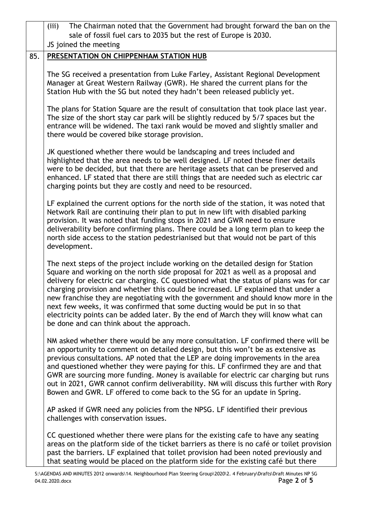|     | The Chairman noted that the Government had brought forward the ban on the<br>(iii)<br>sale of fossil fuel cars to 2035 but the rest of Europe is 2030.                                                                                                                                                                                                                                                                                                                                                                                                                                                                                                     |
|-----|------------------------------------------------------------------------------------------------------------------------------------------------------------------------------------------------------------------------------------------------------------------------------------------------------------------------------------------------------------------------------------------------------------------------------------------------------------------------------------------------------------------------------------------------------------------------------------------------------------------------------------------------------------|
|     | JS joined the meeting                                                                                                                                                                                                                                                                                                                                                                                                                                                                                                                                                                                                                                      |
| 85. | PRESENTATION ON CHIPPENHAM STATION HUB                                                                                                                                                                                                                                                                                                                                                                                                                                                                                                                                                                                                                     |
|     | The SG received a presentation from Luke Farley, Assistant Regional Development<br>Manager at Great Western Railway (GWR). He shared the current plans for the<br>Station Hub with the SG but noted they hadn't been released publicly yet.                                                                                                                                                                                                                                                                                                                                                                                                                |
|     | The plans for Station Square are the result of consultation that took place last year.<br>The size of the short stay car park will be slightly reduced by 5/7 spaces but the<br>entrance will be widened. The taxi rank would be moved and slightly smaller and<br>there would be covered bike storage provision.                                                                                                                                                                                                                                                                                                                                          |
|     | JK questioned whether there would be landscaping and trees included and<br>highlighted that the area needs to be well designed. LF noted these finer details<br>were to be decided, but that there are heritage assets that can be preserved and<br>enhanced. LF stated that there are still things that are needed such as electric car<br>charging points but they are costly and need to be resourced.                                                                                                                                                                                                                                                  |
|     | LF explained the current options for the north side of the station, it was noted that<br>Network Rail are continuing their plan to put in new lift with disabled parking<br>provision. It was noted that funding stops in 2021 and GWR need to ensure<br>deliverability before confirming plans. There could be a long term plan to keep the<br>north side access to the station pedestrianised but that would not be part of this<br>development.                                                                                                                                                                                                         |
|     | The next steps of the project include working on the detailed design for Station<br>Square and working on the north side proposal for 2021 as well as a proposal and<br>delivery for electric car charging. CC questioned what the status of plans was for car<br>charging provision and whether this could be increased. LF explained that under a<br>new franchise they are negotiating with the government and should know more in the<br>next few weeks, it was confirmed that some ducting would be put in so that<br>electricity points can be added later. By the end of March they will know what can<br>be done and can think about the approach. |
|     | NM asked whether there would be any more consultation. LF confirmed there will be<br>an opportunity to comment on detailed design, but this won't be as extensive as<br>previous consultations. AP noted that the LEP are doing improvements in the area<br>and questioned whether they were paying for this. LF confirmed they are and that<br>GWR are sourcing more funding. Money is available for electric car charging but runs<br>out in 2021, GWR cannot confirm deliverability. NM will discuss this further with Rory<br>Bowen and GWR. LF offered to come back to the SG for an update in Spring.                                                |
|     | AP asked if GWR need any policies from the NPSG. LF identified their previous<br>challenges with conservation issues.                                                                                                                                                                                                                                                                                                                                                                                                                                                                                                                                      |
|     | CC questioned whether there were plans for the existing cafe to have any seating<br>areas on the platform side of the ticket barriers as there is no café or toilet provision<br>past the barriers. LF explained that toilet provision had been noted previously and<br>that seating would be placed on the platform side for the existing café but there                                                                                                                                                                                                                                                                                                  |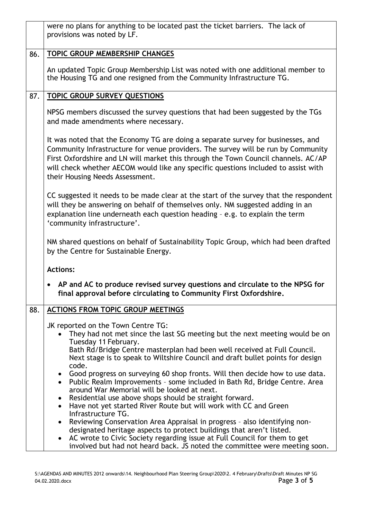|     | were no plans for anything to be located past the ticket barriers. The lack of<br>provisions was noted by LF.                                                                                                                                                                                                                                                                        |
|-----|--------------------------------------------------------------------------------------------------------------------------------------------------------------------------------------------------------------------------------------------------------------------------------------------------------------------------------------------------------------------------------------|
| 86. | <b>TOPIC GROUP MEMBERSHIP CHANGES</b>                                                                                                                                                                                                                                                                                                                                                |
|     | An updated Topic Group Membership List was noted with one additional member to<br>the Housing TG and one resigned from the Community Infrastructure TG.                                                                                                                                                                                                                              |
| 87. | <b>TOPIC GROUP SURVEY QUESTIONS</b>                                                                                                                                                                                                                                                                                                                                                  |
|     | NPSG members discussed the survey questions that had been suggested by the TGs<br>and made amendments where necessary.                                                                                                                                                                                                                                                               |
|     | It was noted that the Economy TG are doing a separate survey for businesses, and<br>Community Infrastructure for venue providers. The survey will be run by Community<br>First Oxfordshire and LN will market this through the Town Council channels. AC/AP<br>will check whether AECOM would like any specific questions included to assist with<br>their Housing Needs Assessment. |
|     | CC suggested it needs to be made clear at the start of the survey that the respondent<br>will they be answering on behalf of themselves only. NM suggested adding in an<br>explanation line underneath each question heading - e.g. to explain the term<br>'community infrastructure'.                                                                                               |
|     | NM shared questions on behalf of Sustainability Topic Group, which had been drafted<br>by the Centre for Sustainable Energy.                                                                                                                                                                                                                                                         |
|     | <b>Actions:</b>                                                                                                                                                                                                                                                                                                                                                                      |
|     | AP and AC to produce revised survey questions and circulate to the NPSG for<br>final approval before circulating to Community First Oxfordshire.                                                                                                                                                                                                                                     |
| 88. | <b>ACTIONS FROM TOPIC GROUP MEETINGS</b>                                                                                                                                                                                                                                                                                                                                             |
|     | JK reported on the Town Centre TG:<br>They had not met since the last SG meeting but the next meeting would be on<br>Tuesday 11 February.<br>Bath Rd/Bridge Centre masterplan had been well received at Full Council.<br>Next stage is to speak to Wiltshire Council and draft bullet points for design                                                                              |
|     | code.<br>Good progress on surveying 60 shop fronts. Will then decide how to use data.<br>Public Realm Improvements - some included in Bath Rd, Bridge Centre. Area<br>around War Memorial will be looked at next.<br>Residential use above shops should be straight forward.<br>٠<br>Have not yet started River Route but will work with CC and Green<br>$\bullet$                   |
|     | Infrastructure TG.<br>Reviewing Conservation Area Appraisal in progress - also identifying non-<br>$\bullet$<br>designated heritage aspects to protect buildings that aren't listed.<br>AC wrote to Civic Society regarding issue at Full Council for them to get<br>$\bullet$<br>involved but had not heard back. JS noted the committee were meeting soon.                         |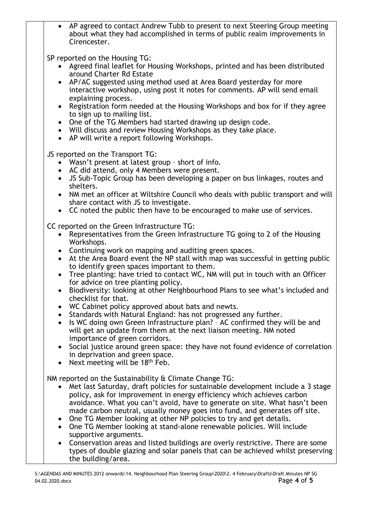AP agreed to contact Andrew Tubb to present to next Steering Group meeting about what they had accomplished in terms of public realm improvements in Cirencester.

SP reported on the Housing TG:

- Agreed final leaflet for Housing Workshops, printed and has been distributed around Charter Rd Estate
- AP/AC suggested using method used at Area Board yesterday for more interactive workshop, using post it notes for comments. AP will send email explaining process.
- Registration form needed at the Housing Workshops and box for if they agree to sign up to mailing list.
- One of the TG Members had started drawing up design code.
- Will discuss and review Housing Workshops as they take place.
- AP will write a report following Workshops.

JS reported on the Transport TG:

- Wasn't present at latest group short of info.
- AC did attend, only 4 Members were present.
- JS Sub-Topic Group has been developing a paper on bus linkages, routes and shelters.
- NM met an officer at Wiltshire Council who deals with public transport and will share contact with JS to investigate.
- CC noted the public then have to be encouraged to make use of services.

CC reported on the Green Infrastructure TG:

- Representatives from the Green Infrastructure TG going to 2 of the Housing Workshops.
- Continuing work on mapping and auditing green spaces.
- At the Area Board event the NP stall with map was successful in getting public to identify green spaces important to them.
- Tree planting: have tried to contact WC, NM will put in touch with an Officer for advice on tree planting policy.
- Biodiversity: looking at other Neighbourhood Plans to see what's included and checklist for that.
- WC Cabinet policy approved about bats and newts.
- Standards with Natural England: has not progressed any further.
- Is WC doing own Green Infrastructure plan? AC confirmed they will be and will get an update from them at the next liaison meeting. NM noted importance of green corridors.
- Social justice around green space: they have not found evidence of correlation in deprivation and green space.
- Next meeting will be  $18<sup>th</sup>$  Feb.

NM reported on the Sustainability & Climate Change TG:

- Met last Saturday, draft policies for sustainable development include a 3 stage policy, ask for improvement in energy efficiency which achieves carbon avoidance. What you can't avoid, have to generate on site. What hasn't been made carbon neutral, usually money goes into fund, and generates off site.
- One TG Member looking at other NP policies to try and get details.
- One TG Member looking at stand-alone renewable policies. Will include supportive arguments.
- Conservation areas and listed buildings are overly restrictive. There are some types of double glazing and solar panels that can be achieved whilst preserving the building/area.